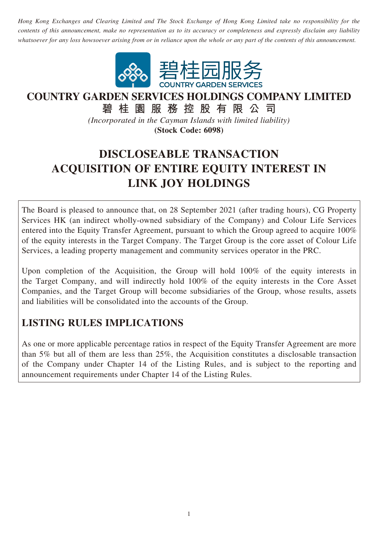*Hong Kong Exchanges and Clearing Limited and The Stock Exchange of Hong Kong Limited take no responsibility for the contents of this announcement, make no representation as to its accuracy or completeness and expressly disclaim any liability whatsoever for any loss howsoever arising from or in reliance upon the whole or any part of the contents of this announcement.*



# **COUNTRY GARDEN SERVICES HOLDINGS COMPANY LIMITED**

**碧桂園服務控股有限公司** *(Incorporated in the Cayman Islands with limited liability)* **(Stock Code: 6098)**

# **DISCLOSEABLE TRANSACTION ACQUISITION OF ENTIRE EQUITY INTEREST IN**

# **LINK JOY HOLDINGS** The Board is pleased to announce that, on 28 September 2021 (after trading hours), CG Property

Services HK (an indirect wholly-owned subsidiary of the Company) and Colour Life Services entered into the Equity Transfer Agreement, pursuant to which the Group agreed to acquire 100% of the equity interests in the Target Company. The Target Group is the core asset of Colour Life Services, a leading property management and community services operator in the PRC.

Upon completion of the Acquisition, the Group will hold 100% of the equity interests in the Target Company, and will indirectly hold 100% of the equity interests in the Core Asset Companies, and the Target Group will become subsidiaries of the Group, whose results, assets and liabilities will be consolidated into the accounts of the Group.

## **LISTING RULES IMPLICATIONS**

As one or more applicable percentage ratios in respect of the Equity Transfer Agreement are more than 5% but all of them are less than 25%, the Acquisition constitutes a disclosable transaction of the Company under Chapter 14 of the Listing Rules, and is subject to the reporting and announcement requirements under Chapter 14 of the Listing Rules.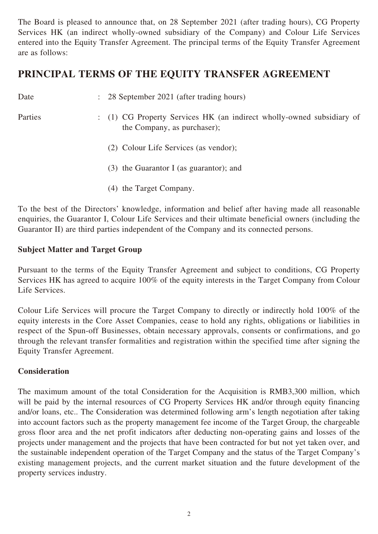The Board is pleased to announce that, on 28 September 2021 (after trading hours), CG Property Services HK (an indirect wholly-owned subsidiary of the Company) and Colour Life Services entered into the Equity Transfer Agreement. The principal terms of the Equity Transfer Agreement are as follows:

### **PRINCIPAL TERMS OF THE EQUITY TRANSFER AGREEMENT**

| Date    | : 28 September 2021 (after trading hours)                                                            |
|---------|------------------------------------------------------------------------------------------------------|
| Parties | : (1) CG Property Services HK (an indirect wholly-owned subsidiary of<br>the Company, as purchaser); |
|         | (2) Colour Life Services (as vendor);                                                                |
|         | $(3)$ the Guarantor I (as guarantor); and                                                            |

(4) the Target Company.

To the best of the Directors' knowledge, information and belief after having made all reasonable enquiries, the Guarantor I, Colour Life Services and their ultimate beneficial owners (including the Guarantor II) are third parties independent of the Company and its connected persons.

#### **Subject Matter and Target Group**

Pursuant to the terms of the Equity Transfer Agreement and subject to conditions, CG Property Services HK has agreed to acquire 100% of the equity interests in the Target Company from Colour Life Services.

Colour Life Services will procure the Target Company to directly or indirectly hold 100% of the equity interests in the Core Asset Companies, cease to hold any rights, obligations or liabilities in respect of the Spun-off Businesses, obtain necessary approvals, consents or confirmations, and go through the relevant transfer formalities and registration within the specified time after signing the Equity Transfer Agreement.

#### **Consideration**

The maximum amount of the total Consideration for the Acquisition is RMB3,300 million, which will be paid by the internal resources of CG Property Services HK and/or through equity financing and/or loans, etc.. The Consideration was determined following arm's length negotiation after taking into account factors such as the property management fee income of the Target Group, the chargeable gross floor area and the net profit indicators after deducting non-operating gains and losses of the projects under management and the projects that have been contracted for but not yet taken over, and the sustainable independent operation of the Target Company and the status of the Target Company's existing management projects, and the current market situation and the future development of the property services industry.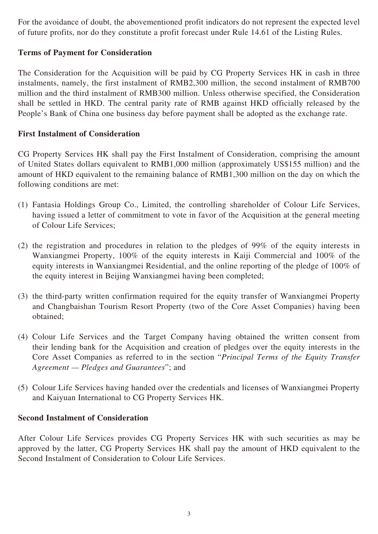For the avoidance of doubt, the abovementioned profit indicators do not represent the expected level of future profits, nor do they constitute a profit forecast under Rule 14.61 of the Listing Rules.

#### **Terms of Payment for Consideration**

The Consideration for the Acquisition will be paid by CG Property Services HK in cash in three instalments, namely, the first instalment of RMB2,300 million, the second instalment of RMB700 million and the third instalment of RMB300 million. Unless otherwise specified, the Consideration shall be settled in HKD. The central parity rate of RMB against HKD officially released by the People's Bank of China one business day before payment shall be adopted as the exchange rate.

#### **First Instalment of Consideration**

CG Property Services HK shall pay the First Instalment of Consideration, comprising the amount of United States dollars equivalent to RMB1,000 million (approximately US\$155 million) and the amount of HKD equivalent to the remaining balance of RMB1,300 million on the day on which the following conditions are met:

- (1) Fantasia Holdings Group Co., Limited, the controlling shareholder of Colour Life Services, having issued a letter of commitment to vote in favor of the Acquisition at the general meeting of Colour Life Services;
- (2) the registration and procedures in relation to the pledges of 99% of the equity interests in Wanxiangmei Property, 100% of the equity interests in Kaiji Commercial and 100% of the equity interests in Wanxiangmei Residential, and the online reporting of the pledge of 100% of the equity interest in Beijing Wanxiangmei having been completed;
- (3) the third-party written confirmation required for the equity transfer of Wanxiangmei Property and Changbaishan Tourism Resort Property (two of the Core Asset Companies) having been obtained;
- (4) Colour Life Services and the Target Company having obtained the written consent from their lending bank for the Acquisition and creation of pledges over the equity interests in the Core Asset Companies as referred to in the section "*Principal Terms of the Equity Transfer Agreement — Pledges and Guarantees*"; and
- (5) Colour Life Services having handed over the credentials and licenses of Wanxiangmei Property and Kaiyuan International to CG Property Services HK.

#### **Second Instalment of Consideration**

After Colour Life Services provides CG Property Services HK with such securities as may be approved by the latter, CG Property Services HK shall pay the amount of HKD equivalent to the Second Instalment of Consideration to Colour Life Services.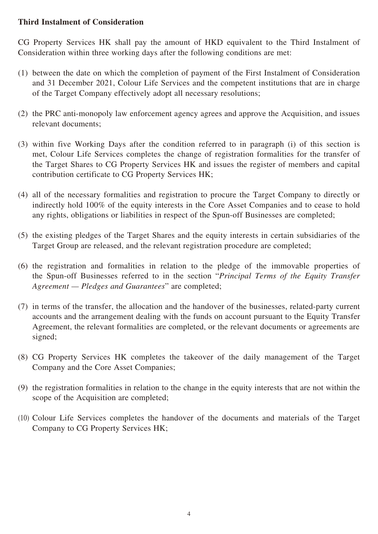#### **Third Instalment of Consideration**

CG Property Services HK shall pay the amount of HKD equivalent to the Third Instalment of Consideration within three working days after the following conditions are met:

- (1) between the date on which the completion of payment of the First Instalment of Consideration and 31 December 2021, Colour Life Services and the competent institutions that are in charge of the Target Company effectively adopt all necessary resolutions;
- (2) the PRC anti-monopoly law enforcement agency agrees and approve the Acquisition, and issues relevant documents;
- (3) within five Working Days after the condition referred to in paragraph (i) of this section is met, Colour Life Services completes the change of registration formalities for the transfer of the Target Shares to CG Property Services HK and issues the register of members and capital contribution certificate to CG Property Services HK;
- (4) all of the necessary formalities and registration to procure the Target Company to directly or indirectly hold 100% of the equity interests in the Core Asset Companies and to cease to hold any rights, obligations or liabilities in respect of the Spun-off Businesses are completed;
- (5) the existing pledges of the Target Shares and the equity interests in certain subsidiaries of the Target Group are released, and the relevant registration procedure are completed;
- (6) the registration and formalities in relation to the pledge of the immovable properties of the Spun-off Businesses referred to in the section "*Principal Terms of the Equity Transfer Agreement — Pledges and Guarantees*" are completed;
- (7) in terms of the transfer, the allocation and the handover of the businesses, related-party current accounts and the arrangement dealing with the funds on account pursuant to the Equity Transfer Agreement, the relevant formalities are completed, or the relevant documents or agreements are signed;
- (8) CG Property Services HK completes the takeover of the daily management of the Target Company and the Core Asset Companies;
- (9) the registration formalities in relation to the change in the equity interests that are not within the scope of the Acquisition are completed;
- (10) Colour Life Services completes the handover of the documents and materials of the Target Company to CG Property Services HK;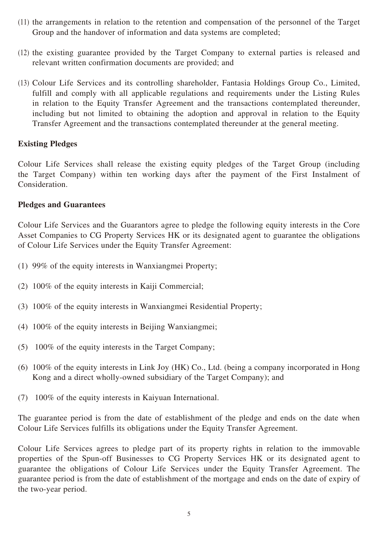- (11) the arrangements in relation to the retention and compensation of the personnel of the Target Group and the handover of information and data systems are completed;
- (12) the existing guarantee provided by the Target Company to external parties is released and relevant written confirmation documents are provided; and
- (13) Colour Life Services and its controlling shareholder, Fantasia Holdings Group Co., Limited, fulfill and comply with all applicable regulations and requirements under the Listing Rules in relation to the Equity Transfer Agreement and the transactions contemplated thereunder, including but not limited to obtaining the adoption and approval in relation to the Equity Transfer Agreement and the transactions contemplated thereunder at the general meeting.

#### **Existing Pledges**

Colour Life Services shall release the existing equity pledges of the Target Group (including the Target Company) within ten working days after the payment of the First Instalment of Consideration.

#### **Pledges and Guarantees**

Colour Life Services and the Guarantors agree to pledge the following equity interests in the Core Asset Companies to CG Property Services HK or its designated agent to guarantee the obligations of Colour Life Services under the Equity Transfer Agreement:

- (1) 99% of the equity interests in Wanxiangmei Property;
- (2) 100% of the equity interests in Kaiji Commercial;
- (3) 100% of the equity interests in Wanxiangmei Residential Property;
- (4) 100% of the equity interests in Beijing Wanxiangmei;
- (5) 100% of the equity interests in the Target Company;
- (6) 100% of the equity interests in Link Joy (HK) Co., Ltd. (being a company incorporated in Hong Kong and a direct wholly-owned subsidiary of the Target Company); and
- (7) 100% of the equity interests in Kaiyuan International.

The guarantee period is from the date of establishment of the pledge and ends on the date when Colour Life Services fulfills its obligations under the Equity Transfer Agreement.

Colour Life Services agrees to pledge part of its property rights in relation to the immovable properties of the Spun-off Businesses to CG Property Services HK or its designated agent to guarantee the obligations of Colour Life Services under the Equity Transfer Agreement. The guarantee period is from the date of establishment of the mortgage and ends on the date of expiry of the two-year period.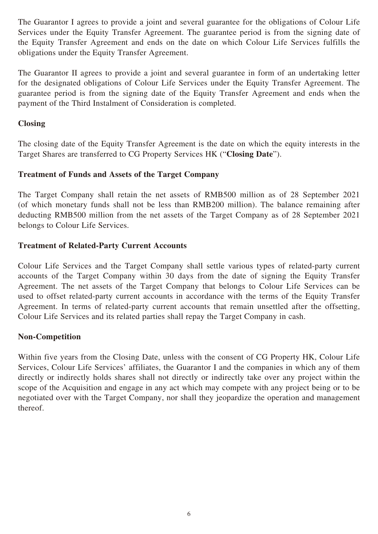The Guarantor I agrees to provide a joint and several guarantee for the obligations of Colour Life Services under the Equity Transfer Agreement. The guarantee period is from the signing date of the Equity Transfer Agreement and ends on the date on which Colour Life Services fulfills the obligations under the Equity Transfer Agreement.

The Guarantor II agrees to provide a joint and several guarantee in form of an undertaking letter for the designated obligations of Colour Life Services under the Equity Transfer Agreement. The guarantee period is from the signing date of the Equity Transfer Agreement and ends when the payment of the Third Instalment of Consideration is completed.

#### **Closing**

The closing date of the Equity Transfer Agreement is the date on which the equity interests in the Target Shares are transferred to CG Property Services HK ("**Closing Date**").

#### **Treatment of Funds and Assets of the Target Company**

The Target Company shall retain the net assets of RMB500 million as of 28 September 2021 (of which monetary funds shall not be less than RMB200 million). The balance remaining after deducting RMB500 million from the net assets of the Target Company as of 28 September 2021 belongs to Colour Life Services.

#### **Treatment of Related-Party Current Accounts**

Colour Life Services and the Target Company shall settle various types of related-party current accounts of the Target Company within 30 days from the date of signing the Equity Transfer Agreement. The net assets of the Target Company that belongs to Colour Life Services can be used to offset related-party current accounts in accordance with the terms of the Equity Transfer Agreement. In terms of related-party current accounts that remain unsettled after the offsetting, Colour Life Services and its related parties shall repay the Target Company in cash.

#### **Non-Competition**

Within five years from the Closing Date, unless with the consent of CG Property HK, Colour Life Services, Colour Life Services' affiliates, the Guarantor I and the companies in which any of them directly or indirectly holds shares shall not directly or indirectly take over any project within the scope of the Acquisition and engage in any act which may compete with any project being or to be negotiated over with the Target Company, nor shall they jeopardize the operation and management thereof.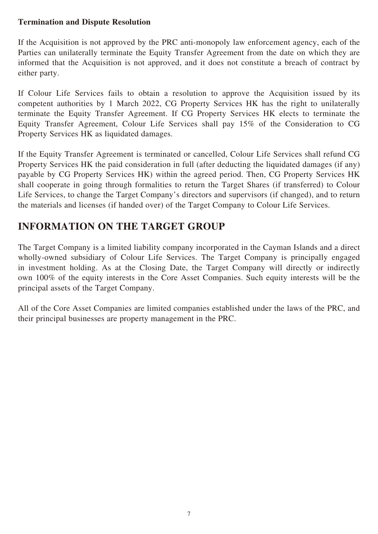#### **Termination and Dispute Resolution**

If the Acquisition is not approved by the PRC anti-monopoly law enforcement agency, each of the Parties can unilaterally terminate the Equity Transfer Agreement from the date on which they are informed that the Acquisition is not approved, and it does not constitute a breach of contract by either party.

If Colour Life Services fails to obtain a resolution to approve the Acquisition issued by its competent authorities by 1 March 2022, CG Property Services HK has the right to unilaterally terminate the Equity Transfer Agreement. If CG Property Services HK elects to terminate the Equity Transfer Agreement, Colour Life Services shall pay 15% of the Consideration to CG Property Services HK as liquidated damages.

If the Equity Transfer Agreement is terminated or cancelled, Colour Life Services shall refund CG Property Services HK the paid consideration in full (after deducting the liquidated damages (if any) payable by CG Property Services HK) within the agreed period. Then, CG Property Services HK shall cooperate in going through formalities to return the Target Shares (if transferred) to Colour Life Services, to change the Target Company's directors and supervisors (if changed), and to return the materials and licenses (if handed over) of the Target Company to Colour Life Services.

## **INFORMATION ON THE TARGET GROUP**

The Target Company is a limited liability company incorporated in the Cayman Islands and a direct wholly-owned subsidiary of Colour Life Services. The Target Company is principally engaged in investment holding. As at the Closing Date, the Target Company will directly or indirectly own 100% of the equity interests in the Core Asset Companies. Such equity interests will be the principal assets of the Target Company.

All of the Core Asset Companies are limited companies established under the laws of the PRC, and their principal businesses are property management in the PRC.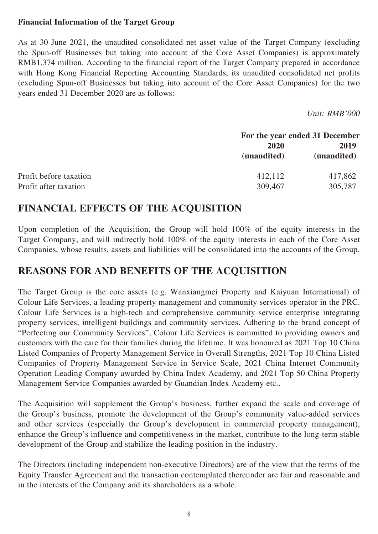#### **Financial Information of the Target Group**

As at 30 June 2021, the unaudited consolidated net asset value of the Target Company (excluding the Spun-off Businesses but taking into account of the Core Asset Companies) is approximately RMB1,374 million. According to the financial report of the Target Company prepared in accordance with Hong Kong Financial Reporting Accounting Standards, its unaudited consolidated net profits (excluding Spun-off Businesses but taking into account of the Core Asset Companies) for the two years ended 31 December 2020 are as follows:

*Unit: RMB'000*

|                        | For the year ended 31 December |                     |
|------------------------|--------------------------------|---------------------|
|                        | 2020<br>(unaudited)            | 2019<br>(unaudited) |
| Profit before taxation | 412,112                        | 417,862             |
| Profit after taxation  | 309,467                        | 305,787             |

## **FINANCIAL EFFECTS OF THE ACQUISITION**

Upon completion of the Acquisition, the Group will hold 100% of the equity interests in the Target Company, and will indirectly hold 100% of the equity interests in each of the Core Asset Companies, whose results, assets and liabilities will be consolidated into the accounts of the Group.

### **REASONS FOR AND BENEFITS OF THE ACQUISITION**

The Target Group is the core assets (e.g. Wanxiangmei Property and Kaiyuan International) of Colour Life Services, a leading property management and community services operator in the PRC. Colour Life Services is a high-tech and comprehensive community service enterprise integrating property services, intelligent buildings and community services. Adhering to the brand concept of "Perfecting our Community Services", Colour Life Services is committed to providing owners and customers with the care for their families during the lifetime. It was honoured as 2021 Top 10 China Listed Companies of Property Management Service in Overall Strengths, 2021 Top 10 China Listed Companies of Property Management Service in Service Scale, 2021 China Internet Community Operation Leading Company awarded by China Index Academy, and 2021 Top 50 China Property Management Service Companies awarded by Guandian Index Academy etc..

The Acquisition will supplement the Group's business, further expand the scale and coverage of the Group's business, promote the development of the Group's community value-added services and other services (especially the Group's development in commercial property management), enhance the Group's influence and competitiveness in the market, contribute to the long-term stable development of the Group and stabilize the leading position in the industry.

The Directors (including independent non-executive Directors) are of the view that the terms of the Equity Transfer Agreement and the transaction contemplated thereunder are fair and reasonable and in the interests of the Company and its shareholders as a whole.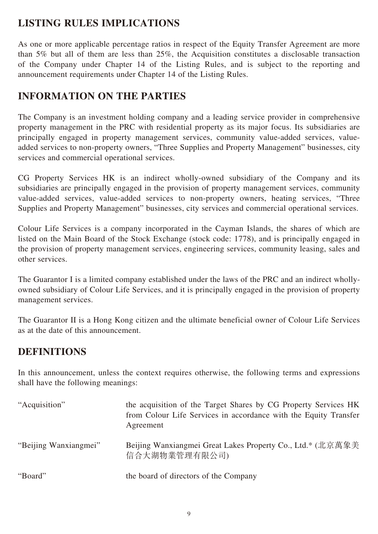## **LISTING RULES IMPLICATIONS**

As one or more applicable percentage ratios in respect of the Equity Transfer Agreement are more than 5% but all of them are less than 25%, the Acquisition constitutes a disclosable transaction of the Company under Chapter 14 of the Listing Rules, and is subject to the reporting and announcement requirements under Chapter 14 of the Listing Rules.

## **INFORMATION ON THE PARTIES**

The Company is an investment holding company and a leading service provider in comprehensive property management in the PRC with residential property as its major focus. Its subsidiaries are principally engaged in property management services, community value-added services, valueadded services to non-property owners, "Three Supplies and Property Management" businesses, city services and commercial operational services.

CG Property Services HK is an indirect wholly-owned subsidiary of the Company and its subsidiaries are principally engaged in the provision of property management services, community value-added services, value-added services to non-property owners, heating services, "Three Supplies and Property Management" businesses, city services and commercial operational services.

Colour Life Services is a company incorporated in the Cayman Islands, the shares of which are listed on the Main Board of the Stock Exchange (stock code: 1778), and is principally engaged in the provision of property management services, engineering services, community leasing, sales and other services.

The Guarantor I is a limited company established under the laws of the PRC and an indirect whollyowned subsidiary of Colour Life Services, and it is principally engaged in the provision of property management services.

The Guarantor II is a Hong Kong citizen and the ultimate beneficial owner of Colour Life Services as at the date of this announcement.

## **DEFINITIONS**

In this announcement, unless the context requires otherwise, the following terms and expressions shall have the following meanings:

| "Acquisition"         | the acquisition of the Target Shares by CG Property Services HK<br>from Colour Life Services in accordance with the Equity Transfer<br>Agreement |
|-----------------------|--------------------------------------------------------------------------------------------------------------------------------------------------|
| "Beijing Wanxiangmei" | Beijing Wanxiangmei Great Lakes Property Co., Ltd.* (北京萬象美<br>信合大湖物業管理有限公司)                                                                      |
| "Board"               | the board of directors of the Company                                                                                                            |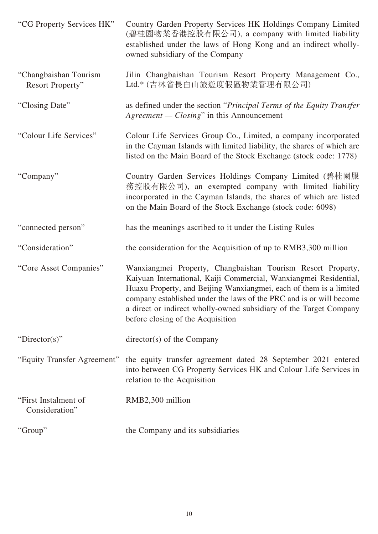| "CG Property Services HK"                 | Country Garden Property Services HK Holdings Company Limited<br>(碧桂園物業香港控股有限公司), a company with limited liability<br>established under the laws of Hong Kong and an indirect wholly-<br>owned subsidiary of the Company                                                                                                                                                                  |
|-------------------------------------------|------------------------------------------------------------------------------------------------------------------------------------------------------------------------------------------------------------------------------------------------------------------------------------------------------------------------------------------------------------------------------------------|
| "Changbaishan Tourism<br>Resort Property" | Jilin Changbaishan Tourism Resort Property Management Co.,<br>Ltd.* (吉林省長白山旅遊度假區物業管理有限公司)                                                                                                                                                                                                                                                                                                |
| "Closing Date"                            | as defined under the section "Principal Terms of the Equity Transfer"<br>Agreement — Closing" in this Announcement                                                                                                                                                                                                                                                                       |
| "Colour Life Services"                    | Colour Life Services Group Co., Limited, a company incorporated<br>in the Cayman Islands with limited liability, the shares of which are<br>listed on the Main Board of the Stock Exchange (stock code: 1778)                                                                                                                                                                            |
| "Company"                                 | Country Garden Services Holdings Company Limited (碧桂園服<br>務控股有限公司), an exempted company with limited liability<br>incorporated in the Cayman Islands, the shares of which are listed<br>on the Main Board of the Stock Exchange (stock code: 6098)                                                                                                                                       |
| "connected person"                        | has the meanings ascribed to it under the Listing Rules                                                                                                                                                                                                                                                                                                                                  |
| "Consideration"                           | the consideration for the Acquisition of up to RMB3,300 million                                                                                                                                                                                                                                                                                                                          |
| "Core Asset Companies"                    | Wanxiangmei Property, Changbaishan Tourism Resort Property,<br>Kaiyuan International, Kaiji Commercial, Wanxiangmei Residential,<br>Huaxu Property, and Beijing Wanxiangmei, each of them is a limited<br>company established under the laws of the PRC and is or will become<br>a direct or indirect wholly-owned subsidiary of the Target Company<br>before closing of the Acquisition |
| "Director(s)"                             | $\text{directory}(s)$ of the Company                                                                                                                                                                                                                                                                                                                                                     |
| "Equity Transfer Agreement"               | the equity transfer agreement dated 28 September 2021 entered<br>into between CG Property Services HK and Colour Life Services in<br>relation to the Acquisition                                                                                                                                                                                                                         |
| "First Instalment of<br>Consideration"    | RMB2,300 million                                                                                                                                                                                                                                                                                                                                                                         |
| "Group"                                   | the Company and its subsidiaries                                                                                                                                                                                                                                                                                                                                                         |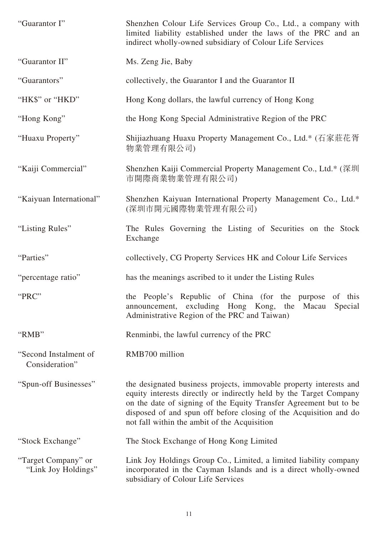| "Guarantor I"                              | Shenzhen Colour Life Services Group Co., Ltd., a company with<br>limited liability established under the laws of the PRC and an<br>indirect wholly-owned subsidiary of Colour Life Services                                                                                                                                        |
|--------------------------------------------|------------------------------------------------------------------------------------------------------------------------------------------------------------------------------------------------------------------------------------------------------------------------------------------------------------------------------------|
| "Guarantor II"                             | Ms. Zeng Jie, Baby                                                                                                                                                                                                                                                                                                                 |
| "Guarantors"                               | collectively, the Guarantor I and the Guarantor II                                                                                                                                                                                                                                                                                 |
| "HK\$" or "HKD"                            | Hong Kong dollars, the lawful currency of Hong Kong                                                                                                                                                                                                                                                                                |
| "Hong Kong"                                | the Hong Kong Special Administrative Region of the PRC                                                                                                                                                                                                                                                                             |
| "Huaxu Property"                           | Shijiazhuang Huaxu Property Management Co., Ltd.* (石家莊花胥<br>物業管理有限公司)                                                                                                                                                                                                                                                              |
| "Kaiji Commercial"                         | Shenzhen Kaiji Commercial Property Management Co., Ltd.* (深圳<br>市開際商業物業管理有限公司)                                                                                                                                                                                                                                                     |
| "Kaiyuan International"                    | Shenzhen Kaiyuan International Property Management Co., Ltd.*<br>(深圳市開元國際物業管理有限公司)                                                                                                                                                                                                                                                 |
| "Listing Rules"                            | The Rules Governing the Listing of Securities on the Stock<br>Exchange                                                                                                                                                                                                                                                             |
| "Parties"                                  | collectively, CG Property Services HK and Colour Life Services                                                                                                                                                                                                                                                                     |
| "percentage ratio"                         | has the meanings ascribed to it under the Listing Rules                                                                                                                                                                                                                                                                            |
| "PRC"                                      | the People's Republic of China (for the purpose of this<br>announcement, excluding Hong Kong, the Macau Special<br>Administrative Region of the PRC and Taiwan)                                                                                                                                                                    |
| "RMB"                                      | Renminbi, the lawful currency of the PRC                                                                                                                                                                                                                                                                                           |
| "Second Instalment of<br>Consideration"    | RMB700 million                                                                                                                                                                                                                                                                                                                     |
| "Spun-off Businesses"                      | the designated business projects, immovable property interests and<br>equity interests directly or indirectly held by the Target Company<br>on the date of signing of the Equity Transfer Agreement but to be<br>disposed of and spun off before closing of the Acquisition and do<br>not fall within the ambit of the Acquisition |
| "Stock Exchange"                           | The Stock Exchange of Hong Kong Limited                                                                                                                                                                                                                                                                                            |
| "Target Company" or<br>"Link Joy Holdings" | Link Joy Holdings Group Co., Limited, a limited liability company<br>incorporated in the Cayman Islands and is a direct wholly-owned<br>subsidiary of Colour Life Services                                                                                                                                                         |